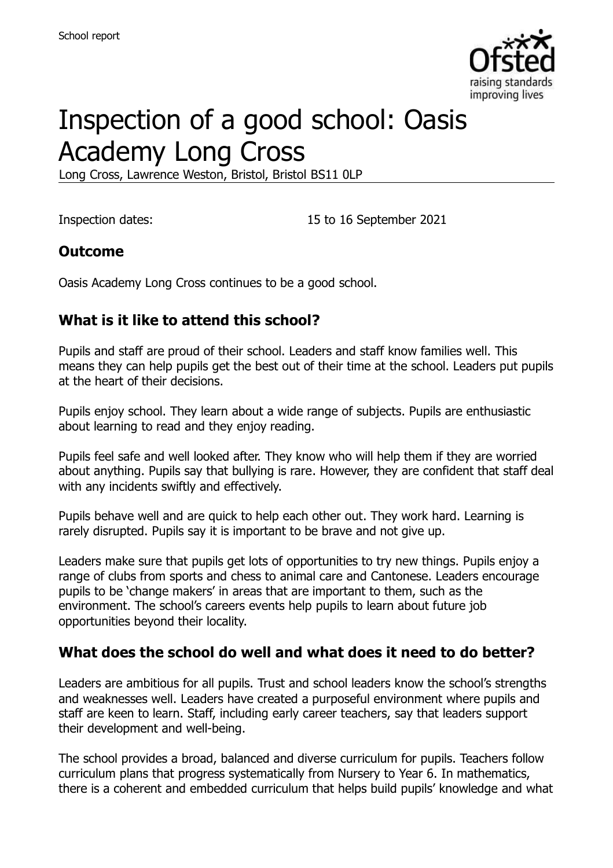

# Inspection of a good school: Oasis Academy Long Cross

Long Cross, Lawrence Weston, Bristol, Bristol BS11 0LP

Inspection dates: 15 to 16 September 2021

#### **Outcome**

Oasis Academy Long Cross continues to be a good school.

# **What is it like to attend this school?**

Pupils and staff are proud of their school. Leaders and staff know families well. This means they can help pupils get the best out of their time at the school. Leaders put pupils at the heart of their decisions.

Pupils enjoy school. They learn about a wide range of subjects. Pupils are enthusiastic about learning to read and they enjoy reading.

Pupils feel safe and well looked after. They know who will help them if they are worried about anything. Pupils say that bullying is rare. However, they are confident that staff deal with any incidents swiftly and effectively.

Pupils behave well and are quick to help each other out. They work hard. Learning is rarely disrupted. Pupils say it is important to be brave and not give up.

Leaders make sure that pupils get lots of opportunities to try new things. Pupils enjoy a range of clubs from sports and chess to animal care and Cantonese. Leaders encourage pupils to be 'change makers' in areas that are important to them, such as the environment. The school's careers events help pupils to learn about future job opportunities beyond their locality.

#### **What does the school do well and what does it need to do better?**

Leaders are ambitious for all pupils. Trust and school leaders know the school's strengths and weaknesses well. Leaders have created a purposeful environment where pupils and staff are keen to learn. Staff, including early career teachers, say that leaders support their development and well-being.

The school provides a broad, balanced and diverse curriculum for pupils. Teachers follow curriculum plans that progress systematically from Nursery to Year 6. In mathematics, there is a coherent and embedded curriculum that helps build pupils' knowledge and what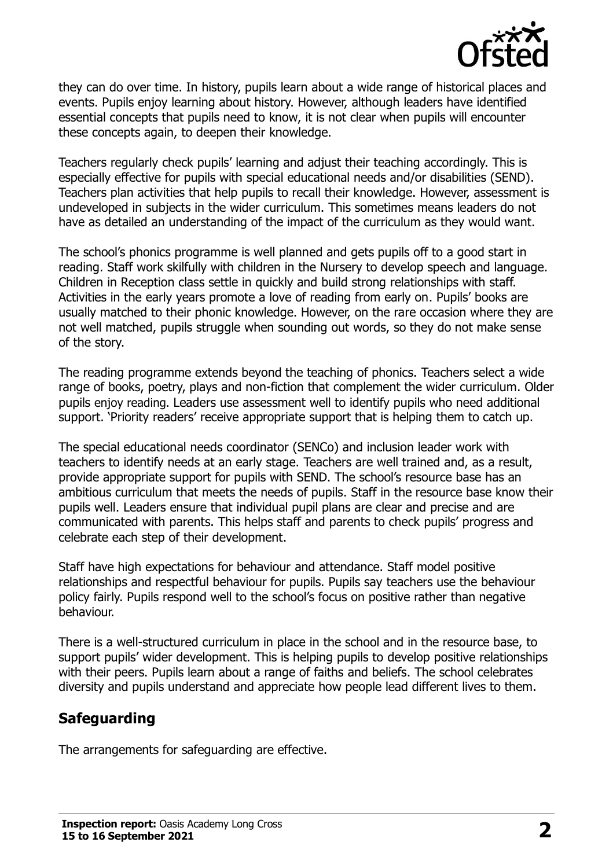

they can do over time. In history, pupils learn about a wide range of historical places and events. Pupils enjoy learning about history. However, although leaders have identified essential concepts that pupils need to know, it is not clear when pupils will encounter these concepts again, to deepen their knowledge.

Teachers regularly check pupils' learning and adjust their teaching accordingly. This is especially effective for pupils with special educational needs and/or disabilities (SEND). Teachers plan activities that help pupils to recall their knowledge. However, assessment is undeveloped in subjects in the wider curriculum. This sometimes means leaders do not have as detailed an understanding of the impact of the curriculum as they would want.

The school's phonics programme is well planned and gets pupils off to a good start in reading. Staff work skilfully with children in the Nursery to develop speech and language. Children in Reception class settle in quickly and build strong relationships with staff. Activities in the early years promote a love of reading from early on. Pupils' books are usually matched to their phonic knowledge. However, on the rare occasion where they are not well matched, pupils struggle when sounding out words, so they do not make sense of the story.

The reading programme extends beyond the teaching of phonics. Teachers select a wide range of books, poetry, plays and non-fiction that complement the wider curriculum. Older pupils enjoy reading. Leaders use assessment well to identify pupils who need additional support. 'Priority readers' receive appropriate support that is helping them to catch up.

The special educational needs coordinator (SENCo) and inclusion leader work with teachers to identify needs at an early stage. Teachers are well trained and, as a result, provide appropriate support for pupils with SEND. The school's resource base has an ambitious curriculum that meets the needs of pupils. Staff in the resource base know their pupils well. Leaders ensure that individual pupil plans are clear and precise and are communicated with parents. This helps staff and parents to check pupils' progress and celebrate each step of their development.

Staff have high expectations for behaviour and attendance. Staff model positive relationships and respectful behaviour for pupils. Pupils say teachers use the behaviour policy fairly. Pupils respond well to the school's focus on positive rather than negative behaviour.

There is a well-structured curriculum in place in the school and in the resource base, to support pupils' wider development. This is helping pupils to develop positive relationships with their peers. Pupils learn about a range of faiths and beliefs. The school celebrates diversity and pupils understand and appreciate how people lead different lives to them.

# **Safeguarding**

The arrangements for safeguarding are effective.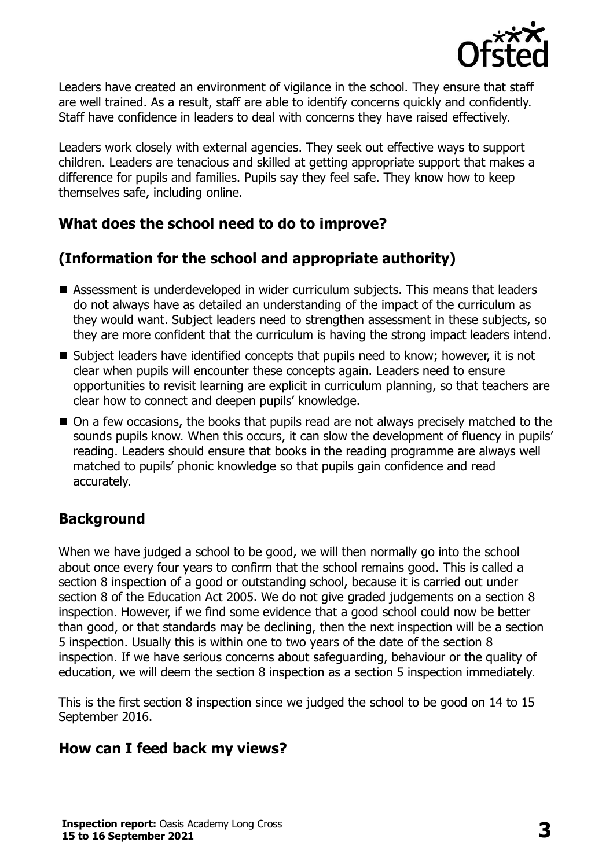

Leaders have created an environment of vigilance in the school. They ensure that staff are well trained. As a result, staff are able to identify concerns quickly and confidently. Staff have confidence in leaders to deal with concerns they have raised effectively.

Leaders work closely with external agencies. They seek out effective ways to support children. Leaders are tenacious and skilled at getting appropriate support that makes a difference for pupils and families. Pupils say they feel safe. They know how to keep themselves safe, including online.

# **What does the school need to do to improve?**

# **(Information for the school and appropriate authority)**

- Assessment is underdeveloped in wider curriculum subjects. This means that leaders do not always have as detailed an understanding of the impact of the curriculum as they would want. Subject leaders need to strengthen assessment in these subjects, so they are more confident that the curriculum is having the strong impact leaders intend.
- Subject leaders have identified concepts that pupils need to know; however, it is not clear when pupils will encounter these concepts again. Leaders need to ensure opportunities to revisit learning are explicit in curriculum planning, so that teachers are clear how to connect and deepen pupils' knowledge.
- On a few occasions, the books that pupils read are not always precisely matched to the sounds pupils know. When this occurs, it can slow the development of fluency in pupils' reading. Leaders should ensure that books in the reading programme are always well matched to pupils' phonic knowledge so that pupils gain confidence and read accurately.

# **Background**

When we have judged a school to be good, we will then normally go into the school about once every four years to confirm that the school remains good. This is called a section 8 inspection of a good or outstanding school, because it is carried out under section 8 of the Education Act 2005. We do not give graded judgements on a section 8 inspection. However, if we find some evidence that a good school could now be better than good, or that standards may be declining, then the next inspection will be a section 5 inspection. Usually this is within one to two years of the date of the section 8 inspection. If we have serious concerns about safeguarding, behaviour or the quality of education, we will deem the section 8 inspection as a section 5 inspection immediately.

This is the first section 8 inspection since we judged the school to be good on 14 to 15 September 2016.

# **How can I feed back my views?**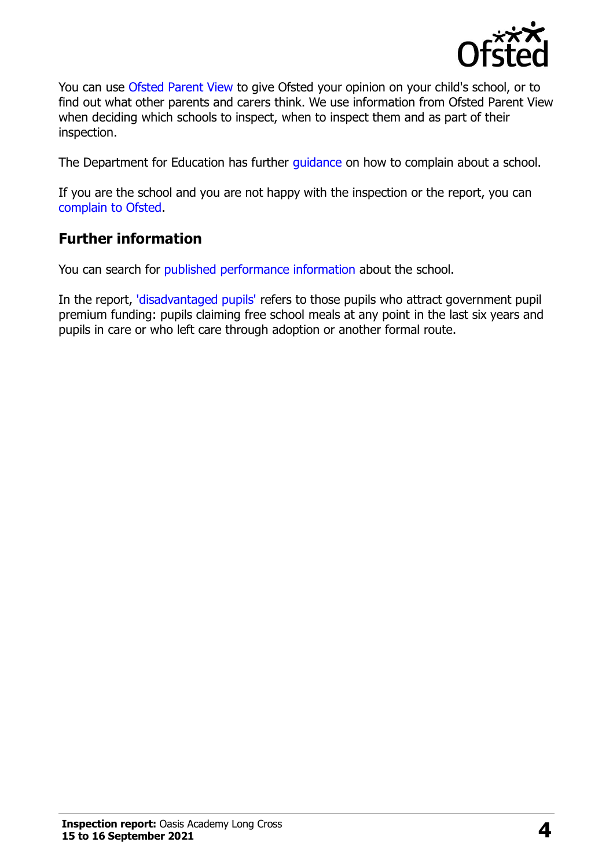

You can use [Ofsted Parent View](https://parentview.ofsted.gov.uk/) to give Ofsted your opinion on your child's school, or to find out what other parents and carers think. We use information from Ofsted Parent View when deciding which schools to inspect, when to inspect them and as part of their inspection.

The Department for Education has further [guidance](http://www.gov.uk/complain-about-school) on how to complain about a school.

If you are the school and you are not happy with the inspection or the report, you can [complain to Ofsted.](https://www.gov.uk/complain-ofsted-report)

#### **Further information**

You can search for [published performance information](http://www.compare-school-performance.service.gov.uk/) about the school.

In the report, ['disadvantaged pupils'](http://www.gov.uk/guidance/pupil-premium-information-for-schools-and-alternative-provision-settings) refers to those pupils who attract government pupil premium funding: pupils claiming free school meals at any point in the last six years and pupils in care or who left care through adoption or another formal route.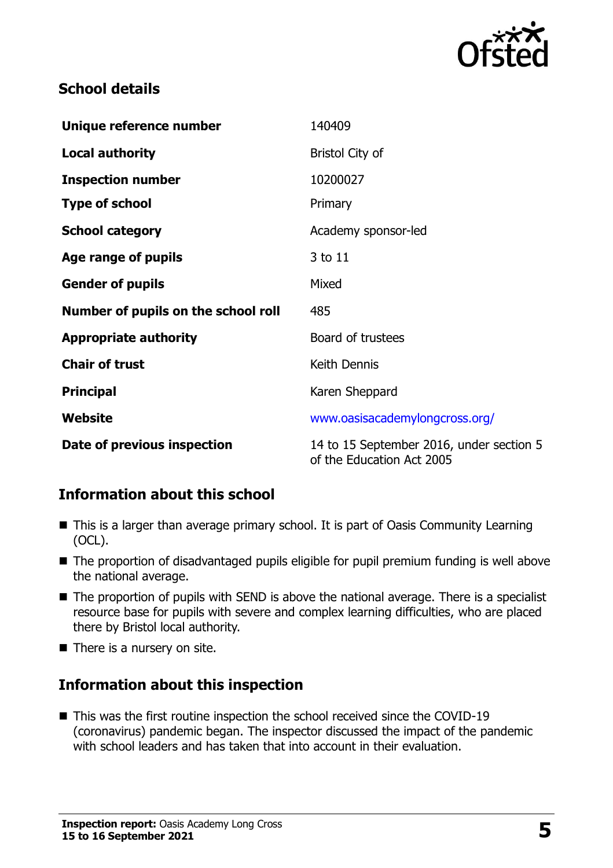

#### **School details**

| Unique reference number             | 140409                                                                |
|-------------------------------------|-----------------------------------------------------------------------|
| <b>Local authority</b>              | <b>Bristol City of</b>                                                |
| <b>Inspection number</b>            | 10200027                                                              |
| <b>Type of school</b>               | Primary                                                               |
| <b>School category</b>              | Academy sponsor-led                                                   |
| Age range of pupils                 | 3 to 11                                                               |
| <b>Gender of pupils</b>             | Mixed                                                                 |
| Number of pupils on the school roll | 485                                                                   |
| <b>Appropriate authority</b>        | Board of trustees                                                     |
| <b>Chair of trust</b>               | Keith Dennis                                                          |
| <b>Principal</b>                    | Karen Sheppard                                                        |
| Website                             | www.oasisacademylongcross.org/                                        |
| Date of previous inspection         | 14 to 15 September 2016, under section 5<br>of the Education Act 2005 |

# **Information about this school**

- This is a larger than average primary school. It is part of Oasis Community Learning (OCL).
- The proportion of disadvantaged pupils eligible for pupil premium funding is well above the national average.
- The proportion of pupils with SEND is above the national average. There is a specialist resource base for pupils with severe and complex learning difficulties, who are placed there by Bristol local authority.
- There is a nursery on site.

# **Information about this inspection**

■ This was the first routine inspection the school received since the COVID-19 (coronavirus) pandemic began. The inspector discussed the impact of the pandemic with school leaders and has taken that into account in their evaluation.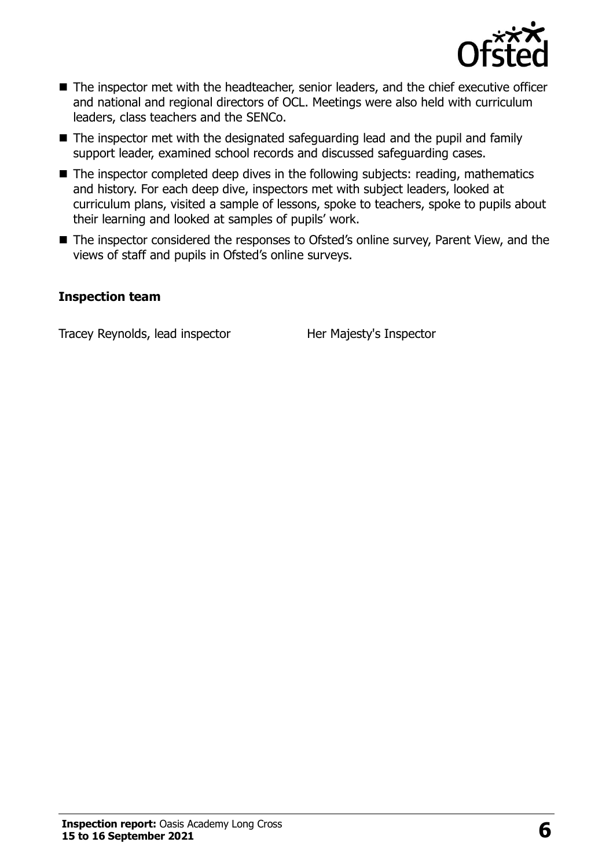

- The inspector met with the headteacher, senior leaders, and the chief executive officer and national and regional directors of OCL. Meetings were also held with curriculum leaders, class teachers and the SENCo.
- The inspector met with the designated safeguarding lead and the pupil and family support leader, examined school records and discussed safeguarding cases.
- The inspector completed deep dives in the following subjects: reading, mathematics and history. For each deep dive, inspectors met with subject leaders, looked at curriculum plans, visited a sample of lessons, spoke to teachers, spoke to pupils about their learning and looked at samples of pupils' work.
- The inspector considered the responses to Ofsted's online survey, Parent View, and the views of staff and pupils in Ofsted's online surveys.

#### **Inspection team**

Tracey Reynolds, lead inspector Her Majesty's Inspector